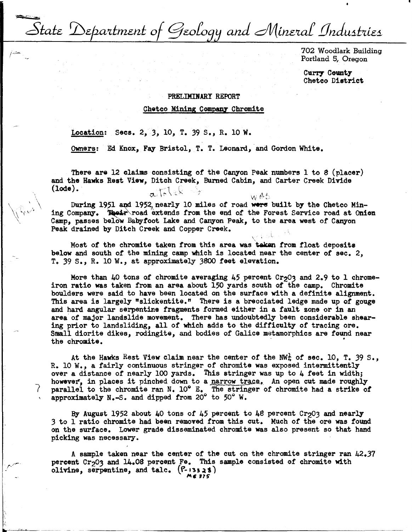State Department of Geology and Mineral Industries

702 Woodlark Building Portland 5, Oregon

Curry County Chetco District

## PRELIMINARY REPORT

Chetco Mining Companz Chromite

Location: Secs. 2, *3,* 10, T. 39 s., R. 10 W.

7

Owners: Ed Knox, Fay Bristol, T. T. Leonard, and Gordon White.

There are 12 claims consisting of the Canyon Peak numbers 1 to 8 (placer) and the Hawks Rest View, Ditch Creek, Burned Cabin, and Carter Creek Divide (lode).  $\alpha$  ) and  $\alpha$  is  $\alpha$  is  $\alpha$  is  $\alpha$  is  $\alpha$  is  $\alpha$ .

During 1951 and 1952, nearly 10 miles of road were built by the Chetco Mining Company. Their road extends from the end of the Forest Service road at Onion Camp, passes beiow Babytoot Lake and Canyon Peak, to the area west of Canyon Peak drained by Ditch Creek and Copper Creek.

Most *ot* the chromite taken from this area was **·takan** from float deposits below and south of. the mining camp which is located near the center of sec. 2, T. 39 s., R. 10 W., at approximately 3800 feet elevation.

More than  $40$  tons of chromite averaging  $45$  percent Cr<sub>2</sub>03 and 2.9 to 1 chromeiron ratio was taken from an area about 150 yards south of the camp. Chromite boulders were said to have been located on the surface with a definite alignment. This area is largely "slickentite." There is a brecciated ledge made up of **gouge**  and hard angular serpentine fragments formed either in a fault zone or in an **area** of major landslide movement. There has undoubtedly been considerable shearing prior to landsliding, all of which adds to the diffieulty of tracing ore. Small diorite dikes, rodingite, and bodies of Galice metamorphics are found near the chromite.

At the Hawks Rest View claim near the center of the NW<sup>1</sup> of sec. 10, T. 39 S., R. 10 w., a fairly continuous stringer of chromite was exposed intermittently over a distance of nearly 100 yards. This stringer was up to 4 feet in width; however, in places it pinched down to a narrow trace. An open cut made roughly parallel to the chromite ran N. 10° E. The stringer of chromite had a strike *ot*  approximately N.-S. and dipped from 20° to 50° W.

By August 1952 about  $40$  tons of  $45$  percent to  $48$  percent Cr<sub>2</sub>03 and nearly 3 to 1 ratio chromite had been removed from this cut. Much of the ore was found on the surface. Lower grade disseminated chromite was also present so that hand picking was necessary.

A sample taken near the center of the cut on the chromite stringer ran 42.37 percent Cr<sub>2</sub>03 and 14.08 percent Fe. This sample consisted of chromite with olivine, serpentine, and talc.  $(F-13328)$ ""• **115"**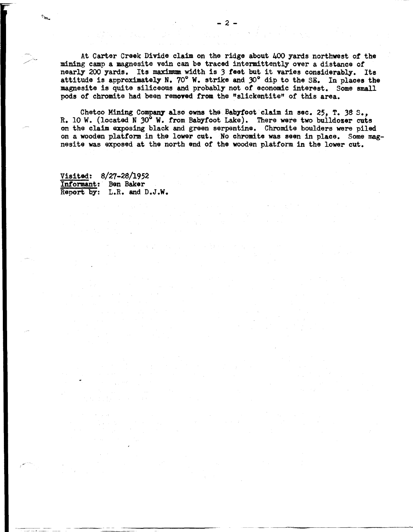At Carter Creek Divide claim on the ridge about 400 yards northwest of the mining camp a magnesite vein can be traced intermittently over a distance of nearly 200 yards. Its maximum. width is *3* **feet** but it varies considerably. Its attitude is approximately N. 70° W. strike and 30° dip to the SE. In places the magnesite is quite siliceous and probably not of economic interest. Some small pods of chromite had been removed from the "slickentite" or this area.

Chetco Mining Company also owns the Babyfoot claim in sec. 25, T. 38 S., R. 10 W. (located N 30° W. from Babyfoot Lake). There were two bulldozer cuts on the claim exposing black and green serpentine. Chromite boulders were piled on a wooden platform in the lower cut. No chromite was seen in place. Some magnesite was exposed at the north end of the wooden platform in the lower cut.

Visited: 8/27-28/1952 Informant: Ben Baker Report by: L.R. and D.J.W.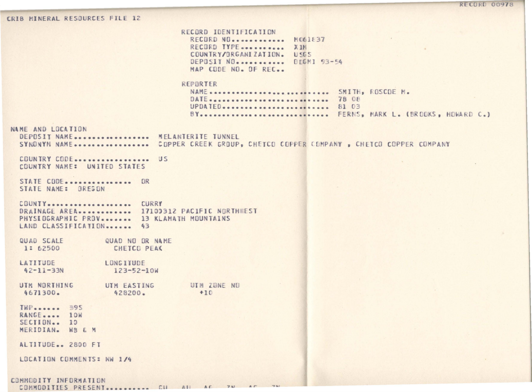1. LUIL VU/LU

CRIB MINERAL RESOURCES FILE 12

RECORD IDENTIFICATION RECORD NO............ MO61837 RECORD TYPE ............... XIM COUNTRY/ORGANIZATION. USES DEPOSIT NO. .......... DDGM1 93-54 MAP CODE NO. OF REC. REPBRTER NAME ........................... SMITH, ROSCOE M. UPDATED......................... 81 03 BY.............................. FERNS, MARK L. (BROOKS, HOWARD C.) NAME AND LOCATION DEPOSIT NAME ................. MELANTERITE TUNNEL SYNDNYM NAME.................. COPPER CREEK GROUP, CHETCO COPPER COMPANY, CHETCO COPPER COMPANY COUNTRY CODE................... US COUNTRY NAME: UNITED STATES STATE CODE................ OR STATE NAME: OREGON COUNTY................... CURRY DRAINAGE AREA............. 17100312 PACIFIC NORTHWEST PHYSEOGRAPHIC PROV....... 13 KLAMATH MOUNTAINS LAND CLASSIFICATION....... 43 QUAD NO OR NAME CHETCO PEAK LONGITUDE  $123 - 52 - 10W$ UTH ZUNE NO UTM EASTING 428200.  $+10$ THP....... 395 RANGE..... 10W SECTION.. 10 MERIDIAN. WB & M ALTITUDE.. 2800 FT LOCATION COMMENTS: NW 1/4

COMMODITY INFORMATION

QUAD SCALE

1: 62500

LATITUDE

4671300.

 $42 - 11 - 33N$ 

UTM NORTHING

 $\mathcal{L}(t)$  and  $\mathcal{L}(t)$  are  $\mathcal{L}(t)$  and  $\mathcal{L}(t)$  and  $\mathcal{L}(t)$